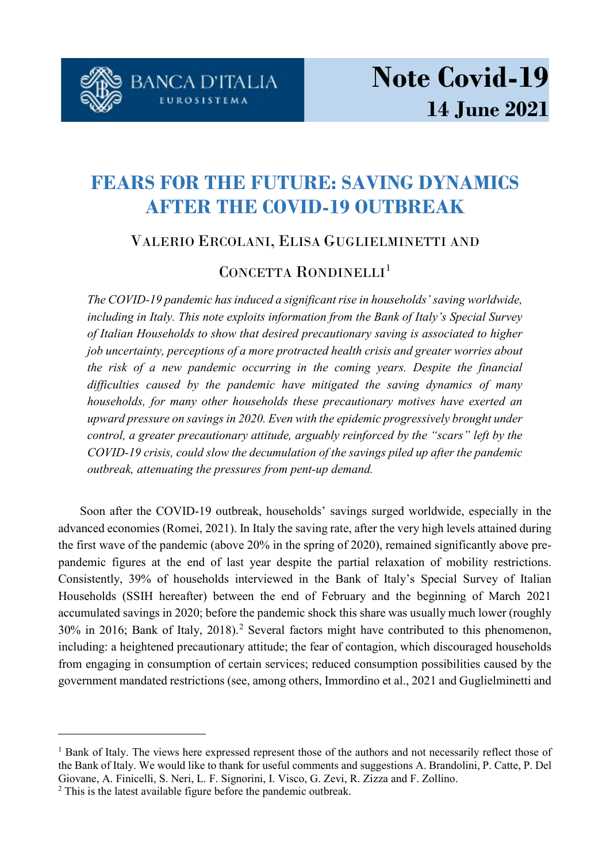

# **FEARS FOR THE FUTURE: SAVING DYNAMICS AFTER THE COVID-19 OUTBREAK**

### VALERIO ERCOLANI, ELISA GUGLIELMINETTI AND

## CONCETTA RONDINELLI<sup>[1](#page-0-0)</sup>

*The COVID-19 pandemic has induced a significant rise in households' saving worldwide, including in Italy. This note exploits information from the Bank of Italy's Special Survey of Italian Households to show that desired precautionary saving is associated to higher job uncertainty, perceptions of a more protracted health crisis and greater worries about the risk of a new pandemic occurring in the coming years. Despite the financial difficulties caused by the pandemic have mitigated the saving dynamics of many households, for many other households these precautionary motives have exerted an upward pressure on savings in 2020. Even with the epidemic progressively brought under control, a greater precautionary attitude, arguably reinforced by the "scars" left by the COVID-19 crisis, could slow the decumulation of the savings piled up after the pandemic outbreak, attenuating the pressures from pent-up demand.* 

Soon after the COVID-19 outbreak, households' savings surged worldwide, especially in the advanced economies (Romei, 2021). In Italy the saving rate, after the very high levels attained during the first wave of the pandemic (above 20% in the spring of 2020), remained significantly above prepandemic figures at the end of last year despite the partial relaxation of mobility restrictions. Consistently, 39% of households interviewed in the Bank of Italy's Special Survey of Italian Households (SSIH hereafter) between the end of February and the beginning of March 2021 accumulated savings in 2020; before the pandemic shock this share was usually much lower (roughly 30% in 2016; Bank of Italy, 2018).[2](#page-0-1) Several factors might have contributed to this phenomenon, including: a heightened precautionary attitude; the fear of contagion, which discouraged households from engaging in consumption of certain services; reduced consumption possibilities caused by the government mandated restrictions (see, among others, Immordino et al., 2021 and Guglielminetti and

 $\overline{a}$ 

<span id="page-0-0"></span><sup>&</sup>lt;sup>1</sup> Bank of Italy. The views here expressed represent those of the authors and not necessarily reflect those of the Bank of Italy. We would like to thank for useful comments and suggestions A. Brandolini, P. Catte, P. Del Giovane, A. Finicelli, S. Neri, L. F. Signorini, I. Visco, G. Zevi, R. Zizza and F. Zollino.

<span id="page-0-1"></span><sup>&</sup>lt;sup>2</sup> This is the latest available figure before the pandemic outbreak.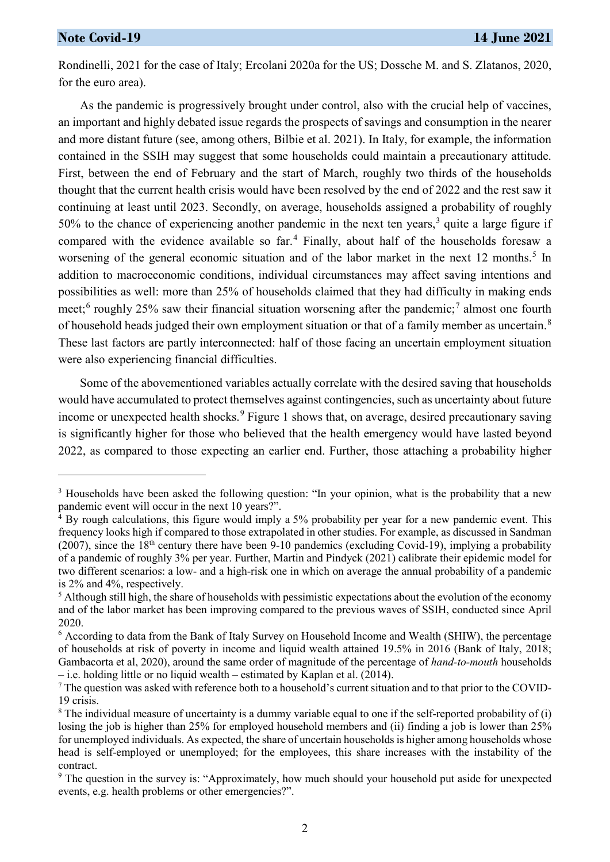$\overline{a}$ 

Rondinelli, 2021 for the case of Italy; Ercolani 2020a for the US; Dossche M. and S. Zlatanos, 2020, for the euro area).

As the pandemic is progressively brought under control, also with the crucial help of vaccines, an important and highly debated issue regards the prospects of savings and consumption in the nearer and more distant future (see, among others, Bilbie et al. 2021). In Italy, for example, the information contained in the SSIH may suggest that some households could maintain a precautionary attitude. First, between the end of February and the start of March, roughly two thirds of the households thought that the current health crisis would have been resolved by the end of 2022 and the rest saw it continuing at least until 2023. Secondly, on average, households assigned a probability of roughly 50% to the chance of experiencing another pandemic in the next ten years, [3](#page-1-0) quite a large figure if compared with the evidence available so far. [4](#page-1-1) Finally, about half of the households foresaw a worsening of the general economic situation and of the labor market in the next 12 months.<sup>[5](#page-1-2)</sup> In addition to macroeconomic conditions, individual circumstances may affect saving intentions and possibilities as well: more than 25% of households claimed that they had difficulty in making ends meet;<sup>[6](#page-1-3)</sup> roughly 25% saw their financial situation worsening after the pandemic;<sup>[7](#page-1-4)</sup> almost one fourth of household heads judged their own employment situation or that of a family member as uncertain.<sup>[8](#page-1-5)</sup> These last factors are partly interconnected: half of those facing an uncertain employment situation were also experiencing financial difficulties.

Some of the abovementioned variables actually correlate with the desired saving that households would have accumulated to protect themselves against contingencies, such as uncertainty about future income or unexpected health shocks.<sup>[9](#page-1-6)</sup> Figure 1 shows that, on average, desired precautionary saving is significantly higher for those who believed that the health emergency would have lasted beyond 2022, as compared to those expecting an earlier end. Further, those attaching a probability higher

<span id="page-1-0"></span><sup>&</sup>lt;sup>3</sup> Households have been asked the following question: "In your opinion, what is the probability that a new pandemic event will occur in the next 10 years?".

<span id="page-1-1"></span> $4$  By rough calculations, this figure would imply a 5% probability per year for a new pandemic event. This frequency looks high if compared to those extrapolated in other studies. For example, as discussed in Sandman (2007), since the  $18<sup>th</sup>$  century there have been 9-10 pandemics (excluding Covid-19), implying a probability of a pandemic of roughly 3% per year. Further, Martin and Pindyck (2021) calibrate their epidemic model for two different scenarios: a low- and a high-risk one in which on average the annual probability of a pandemic is 2% and 4%, respectively.

<span id="page-1-2"></span><sup>&</sup>lt;sup>5</sup> Although still high, the share of households with pessimistic expectations about the evolution of the economy and of the labor market has been improving compared to the previous waves of SSIH, conducted since April 2020.

<span id="page-1-3"></span><sup>6</sup> According to data from the Bank of Italy Survey on Household Income and Wealth (SHIW), the percentage of households at risk of poverty in income and liquid wealth attained 19.5% in 2016 (Bank of Italy, 2018; Gambacorta et al, 2020), around the same order of magnitude of the percentage of *hand-to-mouth* households – i.e. holding little or no liquid wealth – estimated by Kaplan et al. (2014).

<span id="page-1-4"></span><sup>&</sup>lt;sup>7</sup> The question was asked with reference both to a household's current situation and to that prior to the COVID-19 crisis.

<span id="page-1-5"></span> $8$  The individual measure of uncertainty is a dummy variable equal to one if the self-reported probability of (i) losing the job is higher than 25% for employed household members and (ii) finding a job is lower than 25% for unemployed individuals. As expected, the share of uncertain households is higher among households whose head is self-employed or unemployed; for the employees, this share increases with the instability of the contract.

<span id="page-1-6"></span><sup>9</sup> The question in the survey is: "Approximately, how much should your household put aside for unexpected events, e.g. health problems or other emergencies?".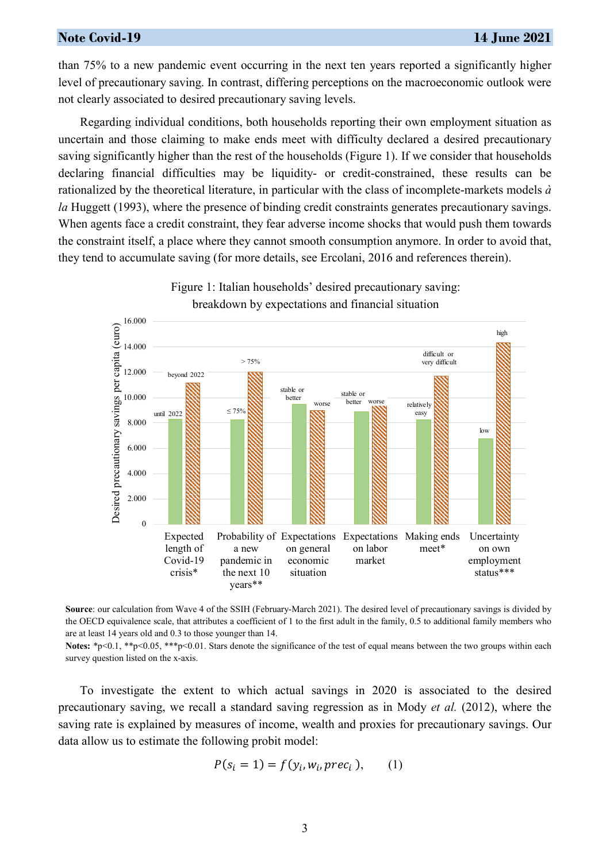#### **Note Covid-19 14 June 2021**

than 75% to a new pandemic event occurring in the next ten years reported a significantly higher level of precautionary saving. In contrast, differing perceptions on the macroeconomic outlook were not clearly associated to desired precautionary saving levels.

Regarding individual conditions, both households reporting their own employment situation as uncertain and those claiming to make ends meet with difficulty declared a desired precautionary saving significantly higher than the rest of the households (Figure 1). If we consider that households declaring financial difficulties may be liquidity- or credit-constrained, these results can be rationalized by the theoretical literature, in particular with the class of incomplete-markets models *à la* Huggett (1993), where the presence of binding credit constraints generates precautionary savings. When agents face a credit constraint, they fear adverse income shocks that would push them towards the constraint itself, a place where they cannot smooth consumption anymore. In order to avoid that, they tend to accumulate saving (for more details, see Ercolani, 2016 and references therein).



Figure 1: Italian households' desired precautionary saving: breakdown by expectations and financial situation

Notes: \*p<0.1, \*\*p<0.05, \*\*\*p<0.01. Stars denote the significance of the test of equal means between the two groups within each survey question listed on the x-axis.

To investigate the extent to which actual savings in 2020 is associated to the desired precautionary saving, we recall a standard saving regression as in Mody *et al.* (2012), where the saving rate is explained by measures of income, wealth and proxies for precautionary savings. Our data allow us to estimate the following probit model:

$$
P(s_i = 1) = f(y_i, w_i, \text{prec}_i), \qquad (1)
$$

**Source**: our calculation from Wave 4 of the SSIH (February-March 2021). The desired level of precautionary savings is divided by the OECD equivalence scale, that attributes a coefficient of 1 to the first adult in the family, 0.5 to additional family members who are at least 14 years old and 0.3 to those younger than 14.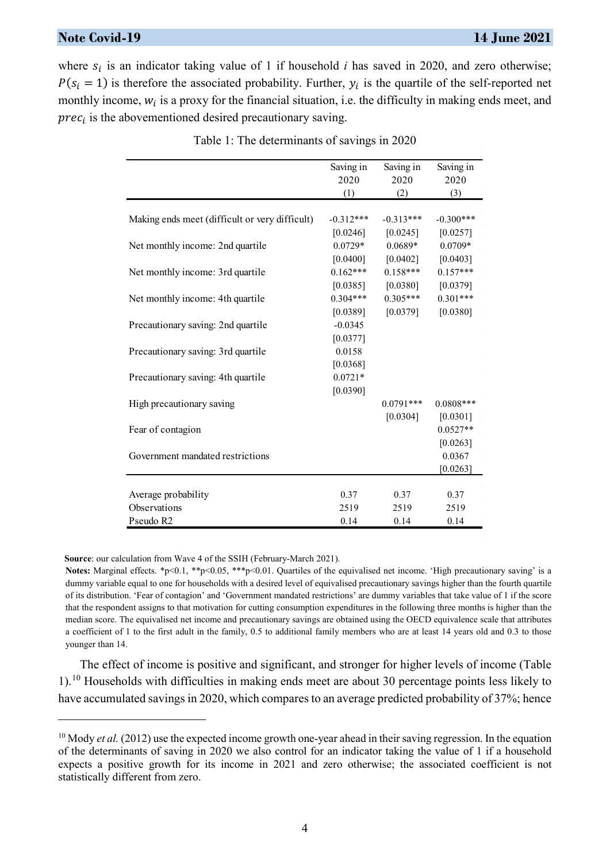#### **Note Covid-19 14 June 2021**

where  $s_i$  is an indicator taking value of 1 if household *i* has saved in 2020, and zero otherwise;  $P(s_i = 1)$  is therefore the associated probability. Further,  $y_i$  is the quartile of the self-reported net monthly income,  $w_i$  is a proxy for the financial situation, i.e. the difficulty in making ends meet, and  $prec_i$  is the abovementioned desired precautionary saving.

|                                                | Saving in   | Saving in   | Saving in   |
|------------------------------------------------|-------------|-------------|-------------|
|                                                | 2020        | 2020        | 2020        |
|                                                | (1)         | (2)         | (3)         |
|                                                |             |             |             |
| Making ends meet (difficult or very difficult) | $-0.312***$ | $-0.313***$ | $-0.300***$ |
|                                                | [0.0246]    | [0.0245]    | [0.0257]    |
| Net monthly income: 2nd quartile               | $0.0729*$   | $0.0689*$   | $0.0709*$   |
|                                                | [0.0400]    | [0.0402]    | [0.0403]    |
| Net monthly income: 3rd quartile               | $0.162***$  | $0.158***$  | $0.157***$  |
|                                                | [0.0385]    | [0.0380]    | [0.0379]    |
| Net monthly income: 4th quartile               | $0.304***$  | $0.305***$  | $0.301***$  |
|                                                | [0.0389]    | [0.0379]    | [0.0380]    |
| Precautionary saving: 2nd quartile             | $-0.0345$   |             |             |
|                                                | [0.0377]    |             |             |
| Precautionary saving: 3rd quartile             | 0.0158      |             |             |
|                                                | [0.0368]    |             |             |
| Precautionary saving: 4th quartile             | $0.0721*$   |             |             |
|                                                | [0.0390]    |             |             |
| High precautionary saving                      |             | $0.0791***$ | $0.0808***$ |
|                                                |             | [0.0304]    | [0.0301]    |
| Fear of contagion                              |             |             | $0.0527**$  |
|                                                |             |             | [0.0263]    |
| Government mandated restrictions               |             |             | 0.0367      |
|                                                |             |             | [0.0263]    |
|                                                |             |             |             |
| Average probability                            | 0.37        | 0.37        | 0.37        |
| Observations                                   | 2519        | 2519        | 2519        |
| Pseudo R2                                      | 0.14        | 0.14        | 0.14        |

Table 1: The determinants of savings in 2020

**Source**: our calculation from Wave 4 of the SSIH (February-March 2021).

 $\overline{a}$ 

**Notes:** Marginal effects. \*p<0.1, \*\*p<0.05, \*\*\*p<0.01. Quartiles of the equivalised net income. 'High precautionary saving' is a dummy variable equal to one for households with a desired level of equivalised precautionary savings higher than the fourth quartile of its distribution. 'Fear of contagion' and 'Government mandated restrictions' are dummy variables that take value of 1 if the score that the respondent assigns to that motivation for cutting consumption expenditures in the following three months is higher than the median score. The equivalised net income and precautionary savings are obtained using the OECD equivalence scale that attributes a coefficient of 1 to the first adult in the family, 0.5 to additional family members who are at least 14 years old and 0.3 to those younger than 14.

The effect of income is positive and significant, and stronger for higher levels of income (Table 1).<sup>[10](#page-3-0)</sup> Households with difficulties in making ends meet are about 30 percentage points less likely to have accumulated savings in 2020, which compares to an average predicted probability of 37%; hence

<span id="page-3-0"></span><sup>&</sup>lt;sup>10</sup> Mody *et al.* (2012) use the expected income growth one-year ahead in their saving regression. In the equation of the determinants of saving in 2020 we also control for an indicator taking the value of 1 if a household expects a positive growth for its income in 2021 and zero otherwise; the associated coefficient is not statistically different from zero.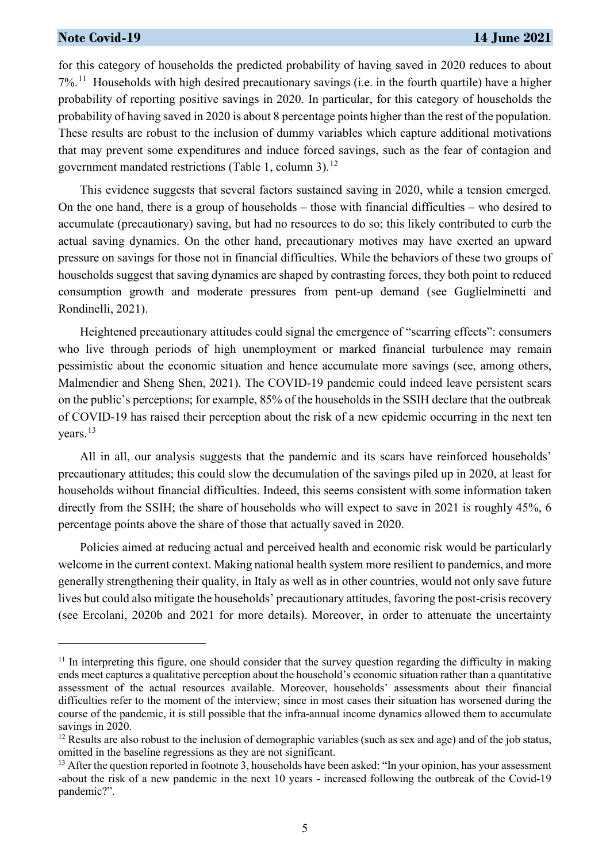#### **Note Covid-19 14 June 2021**

 $\overline{a}$ 

for this category of households the predicted probability of having saved in 2020 reduces to about 7%. [11](#page-4-0) Households with high desired precautionary savings (i.e. in the fourth quartile) have a higher probability of reporting positive savings in 2020. In particular, for this category of households the probability of having saved in 2020 is about 8 percentage points higher than the rest of the population. These results are robust to the inclusion of dummy variables which capture additional motivations that may prevent some expenditures and induce forced savings, such as the fear of contagion and government mandated restrictions (Table 1, column 3).<sup>[12](#page-4-1)</sup>

This evidence suggests that several factors sustained saving in 2020, while a tension emerged. On the one hand, there is a group of households – those with financial difficulties – who desired to accumulate (precautionary) saving, but had no resources to do so; this likely contributed to curb the actual saving dynamics. On the other hand, precautionary motives may have exerted an upward pressure on savings for those not in financial difficulties. While the behaviors of these two groups of households suggest that saving dynamics are shaped by contrasting forces, they both point to reduced consumption growth and moderate pressures from pent-up demand (see Guglielminetti and Rondinelli, 2021).

Heightened precautionary attitudes could signal the emergence of "scarring effects": consumers who live through periods of high unemployment or marked financial turbulence may remain pessimistic about the economic situation and hence accumulate more savings (see, among others, Malmendier and Sheng Shen, 2021). The COVID-19 pandemic could indeed leave persistent scars on the public's perceptions; for example, 85% of the households in the SSIH declare that the outbreak of COVID-19 has raised their perception about the risk of a new epidemic occurring in the next ten years.<sup>[13](#page-4-2)</sup>

All in all, our analysis suggests that the pandemic and its scars have reinforced households' precautionary attitudes; this could slow the decumulation of the savings piled up in 2020, at least for households without financial difficulties. Indeed, this seems consistent with some information taken directly from the SSIH; the share of households who will expect to save in 2021 is roughly 45%, 6 percentage points above the share of those that actually saved in 2020.

Policies aimed at reducing actual and perceived health and economic risk would be particularly welcome in the current context. Making national health system more resilient to pandemics, and more generally strengthening their quality, in Italy as well as in other countries, would not only save future lives but could also mitigate the households' precautionary attitudes, favoring the post-crisis recovery (see Ercolani, 2020b and 2021 for more details). Moreover, in order to attenuate the uncertainty

<span id="page-4-0"></span><sup>&</sup>lt;sup>11</sup> In interpreting this figure, one should consider that the survey question regarding the difficulty in making ends meet captures a qualitative perception about the household's economic situation rather than a quantitative assessment of the actual resources available. Moreover, households' assessments about their financial difficulties refer to the moment of the interview; since in most cases their situation has worsened during the course of the pandemic, it is still possible that the infra-annual income dynamics allowed them to accumulate savings in 2020.

<span id="page-4-1"></span> $12$  Results are also robust to the inclusion of demographic variables (such as sex and age) and of the job status, omitted in the baseline regressions as they are not significant.

<span id="page-4-2"></span><sup>&</sup>lt;sup>13</sup> After the question reported in footnote 3, households have been asked: "In your opinion, has your assessment -about the risk of a new pandemic in the next 10 years - increased following the outbreak of the Covid-19 pandemic?".